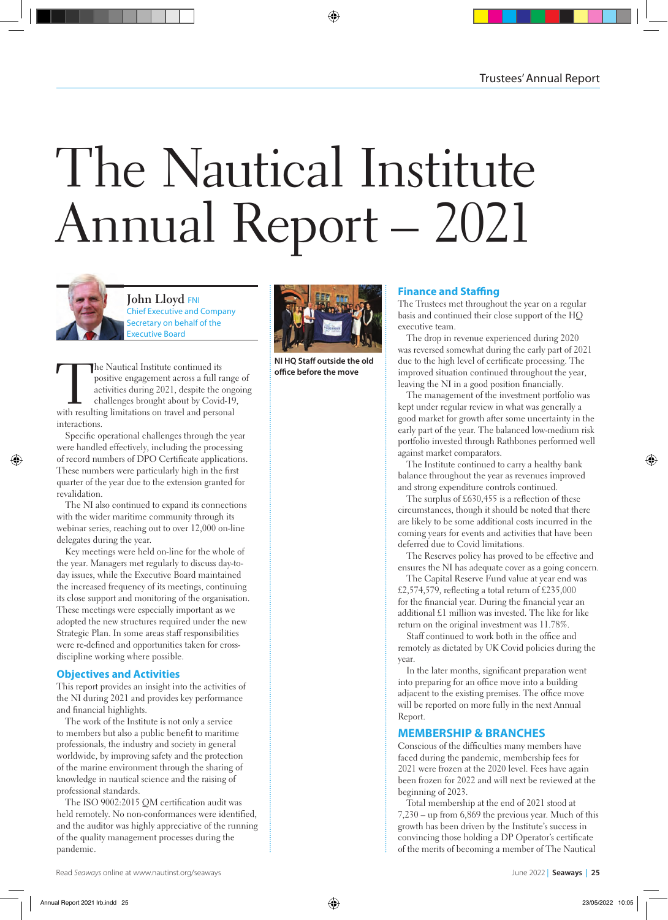# The Nautical Institute Annual Report – 2021



**John Lloyd** FNI Chief Executive and Company Secretary on behalf of the Executive Board

The Nautical Institute continued its<br>
positive engagement across a full range<br>
activities during 2021, despite the onge<br>
challenges brought about by Covid-19<br>
with resulting limitations on travel and personal positive engagement across a full range of activities during 2021, despite the ongoing challenges brought about by Covid-19, interactions.

Specific operational challenges through the year were handled effectively, including the processing of record numbers of DPO Certificate applications. These numbers were particularly high in the first quarter of the year due to the extension granted for revalidation.

The NI also continued to expand its connections with the wider maritime community through its webinar series, reaching out to over 12,000 on-line delegates during the year.

Key meetings were held on-line for the whole of the year. Managers met regularly to discuss day-today issues, while the Executive Board maintained the increased frequency of its meetings, continuing its close support and monitoring of the organisation. These meetings were especially important as we adopted the new structures required under the new Strategic Plan. In some areas staff responsibilities were re-defined and opportunities taken for crossdiscipline working where possible.

#### **Objectives and Activities**

This report provides an insight into the activities of the NI during 2021 and provides key performance and financial highlights.

The work of the Institute is not only a service to members but also a public benefit to maritime professionals, the industry and society in general worldwide, by improving safety and the protection of the marine environment through the sharing of knowledge in nautical science and the raising of professional standards.

The ISO 9002:2015 QM certification audit was held remotely. No non-conformances were identified, and the auditor was highly appreciative of the running of the quality management processes during the pandemic.



**NI HO Staff outside the old office before the move** 

#### **Finance and Staffing**

The Trustees met throughout the year on a regular basis and continued their close support of the HQ executive team.

The drop in revenue experienced during 2020 was reversed somewhat during the early part of 2021 due to the high level of certificate processing. The improved situation continued throughout the year, leaving the NI in a good position financially.

The management of the investment portfolio was kept under regular review in what was generally a good market for growth after some uncertainty in the early part of the year. The balanced low-medium risk portfolio invested through Rathbones performed well against market comparators.

The Institute continued to carry a healthy bank balance throughout the year as revenues improved and strong expenditure controls continued.

The surplus of  $£630,455$  is a reflection of these circumstances, though it should be noted that there are likely to be some additional costs incurred in the coming years for events and activities that have been deferred due to Covid limitations.

The Reserves policy has proved to be effective and ensures the NI has adequate cover as a going concern.

The Capital Reserve Fund value at year end was £2,574,579, reflecting a total return of £235,000 for the financial year. During the financial year an additional £1 million was invested. The like for like return on the original investment was 11.78%.

Staff continued to work both in the office and remotely as dictated by UK Covid policies during the year.

In the later months, significant preparation went into preparing for an office move into a building adjacent to the existing premises. The office move will be reported on more fully in the next Annual Report.

#### **MEMBERSHIP & BRANCHES**

Conscious of the difficulties many members have faced during the pandemic, membership fees for 2021 were frozen at the 2020 level. Fees have again been frozen for 2022 and will next be reviewed at the beginning of 2023.

Total membership at the end of 2021 stood at 7,230 – up from 6,869 the previous year. Much of this growth has been driven by the Institute's success in convincing those holding a DP Operator's certificate of the merits of becoming a member of The Nautical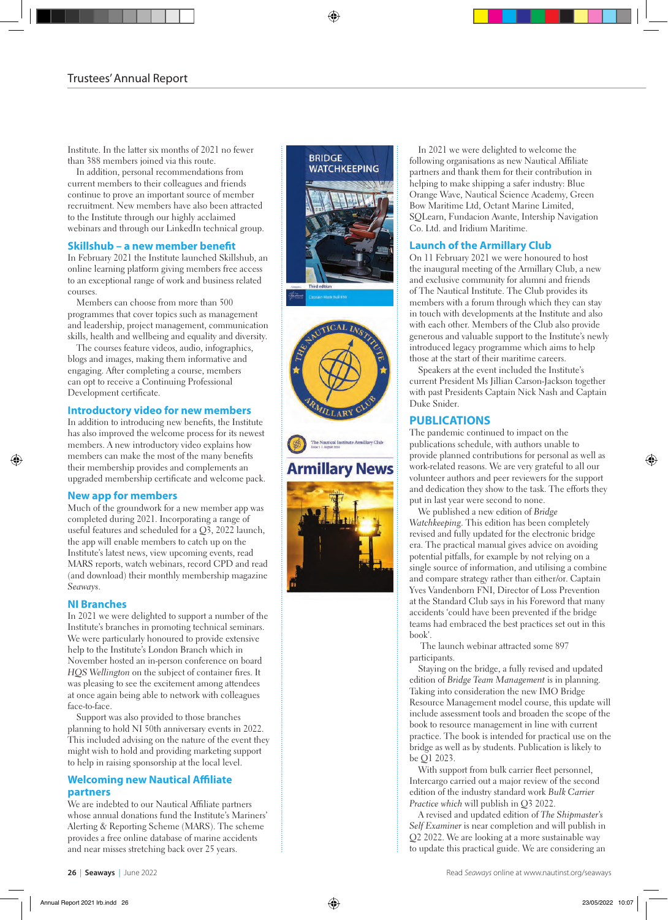Institute. In the latter six months of 2021 no fewer than 388 members joined via this route.

In addition, personal recommendations from current members to their colleagues and friends continue to prove an important source of member recruitment. New members have also been attracted to the Institute through our highly acclaimed webinars and through our LinkedIn technical group.

# **Skillshub – a new member benefit**

In February 2021 the Institute launched Skillshub, an online learning platform giving members free access to an exceptional range of work and business related courses.

Members can choose from more than 500 programmes that cover topics such as management and leadership, project management, communication skills, health and wellbeing and equality and diversity.

The courses feature videos, audio, infographics, blogs and images, making them informative and engaging. After completing a course, members can opt to receive a Continuing Professional Development certificate.

# **Introductory video for new members**

In addition to introducing new benefits, the Institute has also improved the welcome process for its newest members. A new introductory video explains how members can make the most of the many benefits their membership provides and complements an upgraded membership certificate and welcome pack.

# **New app for members**

Much of the groundwork for a new member app was completed during 2021. Incorporating a range of useful features and scheduled for a  $Q_2$ , 2022 launch, the app will enable members to catch up on the Institute's latest news, view upcoming events, read MARS reports, watch webinars, record CPD and read (and download) their monthly membership magazine *Seaways* .

# **NI Branches**

In 2021 we were delighted to support a number of the Institute's branches in promoting technical seminars. We were particularly honoured to provide extensive help to the Institute's London Branch which in November hosted an in-person conference on board *HQS Wellington* on the subject of container fires. It was pleasing to see the excitement among attendees at once again being able to network with colleagues face-to-face.

Support was also provided to those branches planning to hold NI 50th anniversary events in 2022. This included advising on the nature of the event they might wish to hold and providing marketing support to help in raising sponsorship at the local level.

# **Welcoming new Nautical Affiliate partners**

We are indebted to our Nautical Affiliate partners whose annual donations fund the Institute's Mariners' Alerting & Reporting Scheme (MARS). The scheme provides a free online database of marine accidents and near misses stretching back over 25 years.





In 2021 we were delighted to welcome the following organisations as new Nautical Affiliate partners and thank them for their contribution in helping to make shipping a safer industry: Blue Orange Wave, Nautical Science Academy, Green Bow Maritime Ltd, Octant Marine Limited, SQLearn, Fundacion Avante, Intership Navigation Co. Ltd. and Iridium Maritime.

## **Launch of the Armillary Club**

On 11 February 2021 we were honoured to host the inaugural meeting of the Armillary Club, a new and exclusive community for alumni and friends of The Nautical Institute. The Club provides its members with a forum through which they can stay in touch with developments at the Institute and also with each other. Members of the Club also provide generous and valuable support to the Institute's newly introduced legacy programme which aims to help those at the start of their maritime careers.

Speakers at the event included the Institute's current President Ms Jillian Carson-Jackson together with past Presidents Captain Nick Nash and Captain Duke Snider.

# **PUBLICATIONS**

The pandemic continued to impact on the publications schedule, with authors unable to provide planned contributions for personal as well as work-related reasons. We are very grateful to all our volunteer authors and peer reviewers for the support and dedication they show to the task. The efforts they put in last year were second to none.

We published a new edition of *Bridge Watchkeeping*. This edition has been completely revised and fully updated for the electronic bridge era. The practical manual gives advice on avoiding potential pitfalls, for example by not relying on a single source of information, and utilising a combine and compare strategy rather than either/or. Captain Yves Vandenborn FNI, Director of Loss Prevention at the Standard Club says in his Foreword that many accidents 'could have been prevented if the bridge teams had embraced the best practices set out in this book'.

 The launch webinar attracted some 897 participants.

Staying on the bridge, a fully revised and updated edition of *Bridge Team Management* is in planning. Taking into consideration the new IMO Bridge Resource Management model course, this update will include assessment tools and broaden the scope of the book to resource management in line with current practice. The book is intended for practical use on the bridge as well as by students. Publication is likely to be Q1 2023.

With support from bulk carrier fleet personnel, Intercargo carried out a major review of the second edition of the industry standard work *Bulk Carrier Practice which* will publish in Q3 2022.

A revised and updated edition of *The Shipmaster's Self Examiner* is near completion and will publish in Q2 2022. We are looking at a more sustainable way to update this practical guide. We are considering an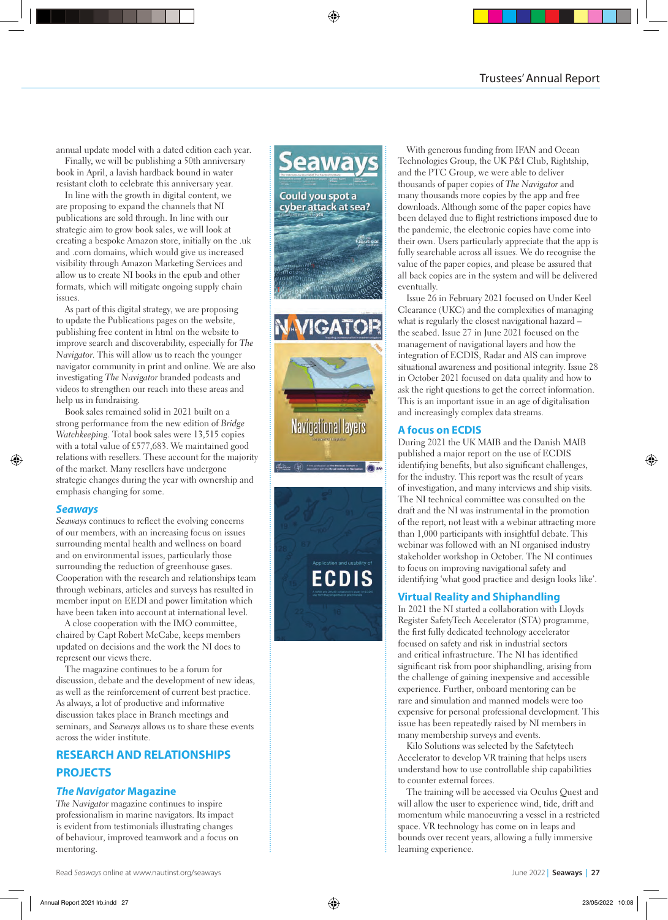annual update model with a dated edition each year.

Finally, we will be publishing a 50th anniversary book in April, a lavish hardback bound in water resistant cloth to celebrate this anniversary year.

In line with the growth in digital content, we are proposing to expand the channels that NI publications are sold through. In line with our strategic aim to grow book sales, we will look at creating a bespoke Amazon store, initially on the .uk and .com domains, which would give us increased visibility through Amazon Marketing Services and allow us to create NI books in the epub and other formats, which will mitigate ongoing supply chain issues.

As part of this digital strategy, we are proposing to update the Publications pages on the website, publishing free content in html on the website to improve search and discoverability, especially for *The Navigator*. This will allow us to reach the younger navigator community in print and online. We are also investigating *The Navigator* branded podcasts and videos to strengthen our reach into these areas and help us in fundraising.

Book sales remained solid in 2021 built on a strong performance from the new edition of *Bridge Watchkeeping*. Total book sales were 13,515 copies with a total value of £577,683. We maintained good relations with resellers. These account for the majority of the market. Many resellers have undergone strategic changes during the year with ownership and emphasis changing for some.

# *Seaways*

*Seaways* continues to reflect the evolving concerns of our members, with an increasing focus on issues surrounding mental health and wellness on board and on environmental issues, particularly those surrounding the reduction of greenhouse gases. Cooperation with the research and relationships team through webinars, articles and surveys has resulted in member input on EEDI and power limitation which have been taken into account at international level.

A close cooperation with the IMO committee, chaired by Capt Robert McCabe, keeps members updated on decisions and the work the NI does to represent our views there.

The magazine continues to be a forum for discussion, debate and the development of new ideas, as well as the reinforcement of current best practice. As always, a lot of productive and informative discussion takes place in Branch meetings and seminars, and *Seaways* allows us to share these events across the wider institute.

# **RESEARCH AND RELATIONSHIPS PROJECTS**

# *The Navigator* **Magazine**

*The Navigator* magazine continues to inspire professionalism in marine navigators. Its impact is evident from testimonials illustrating changes of behaviour, improved teamwork and a focus on mentoring.



With generous funding from IFAN and Ocean Technologies Group, the UK P&I Club, Rightship, and the PTC Group, we were able to deliver thousands of paper copies of *The Navigator* and many thousands more copies by the app and free downloads. Although some of the paper copies have been delayed due to flight restrictions imposed due to the pandemic, the electronic copies have come into their own. Users particularly appreciate that the app is fully searchable across all issues. We do recognise the value of the paper copies, and please be assured that all back copies are in the system and will be delivered eventually.

Issue 26 in February 2021 focused on Under Keel Clearance (UKC) and the complexities of managing what is regularly the closest navigational hazard – the seabed. Issue 27 in June 2021 focused on the management of navigational layers and how the integration of ECDIS, Radar and AIS can improve situational awareness and positional integrity. Issue 28 in October 2021 focused on data quality and how to ask the right questions to get the correct information. This is an important issue in an age of digitalisation and increasingly complex data streams.

# **A focus on ECDIS**

During 2021 the UK MAIB and the Danish MAIB published a major report on the use of ECDIS identifying benefits, but also significant challenges, for the industry. This report was the result of years of investigation, and many interviews and ship visits. The NI technical committee was consulted on the draft and the NI was instrumental in the promotion of the report, not least with a webinar attracting more than 1,000 participants with insightful debate. This webinar was followed with an NI organised industry stakeholder workshop in October. The NI continues to focus on improving navigational safety and identifying 'what good practice and design looks like'.

# **Virtual Reality and Shiphandling**

In 2021 the NI started a collaboration with Lloyds Register SafetyTech Accelerator (STA) programme, the first fully dedicated technology accelerator focused on safety and risk in industrial sectors and critical infrastructure. The NI has identified significant risk from poor shiphandling, arising from the challenge of gaining inexpensive and accessible experience. Further, onboard mentoring can be rare and simulation and manned models were too expensive for personal professional development. This issue has been repeatedly raised by NI members in many membership surveys and events.

Kilo Solutions was selected by the Safetytech Accelerator to develop VR training that helps users understand how to use controllable ship capabilities to counter external forces.

The training will be accessed via Oculus Quest and will allow the user to experience wind, tide, drift and momentum while manoeuvring a vessel in a restricted space. VR technology has come on in leaps and bounds over recent years, allowing a fully immersive learning experience.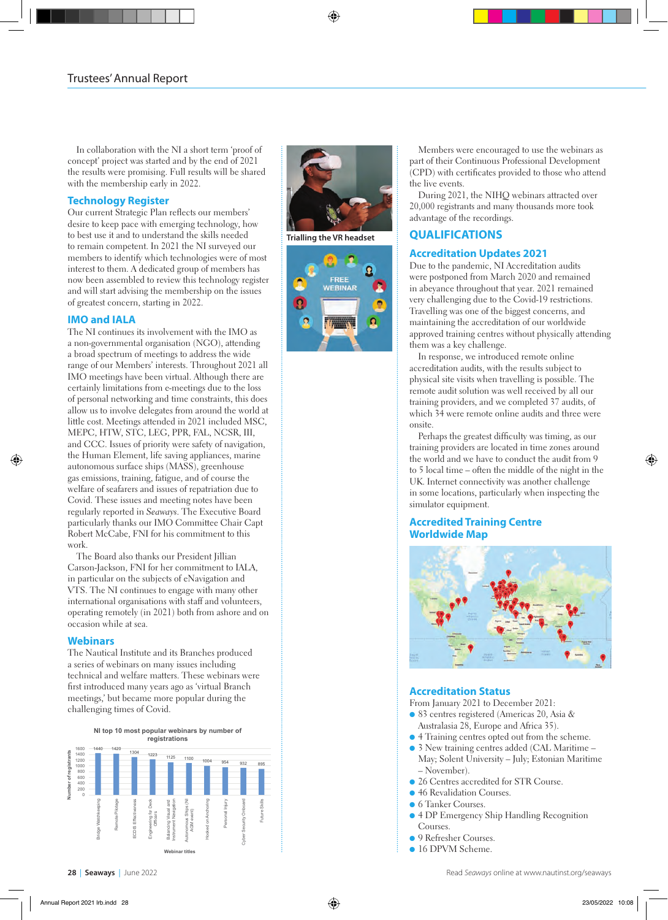In collaboration with the NI a short term 'proof of concept' project was started and by the end of 2021 the results were promising. Full results will be shared with the membership early in 2022.

#### **Technology Register**

Our current Strategic Plan reflects our members' desire to keep pace with emerging technology, how to best use it and to understand the skills needed to remain competent. In 2021 the NI surveyed our members to identify which technologies were of most interest to them. A dedicated group of members has now been assembled to review this technology register and will start advising the membership on the issues of greatest concern, starting in 2022.

## **IMO and IALA**

The NI continues its involvement with the IMO as a non-governmental organisation (NGO), attending a broad spectrum of meetings to address the wide range of our Members' interests. Throughout 2021 all IMO meetings have been virtual. Although there are certainly limitations from e-meetings due to the loss of personal networking and time constraints, this does allow us to involve delegates from around the world at little cost. Meetings attended in 2021 included MSC, MEPC, HTW, STC, LEG, PPR, FAL, NCSR, III, and CCC. Issues of priority were safety of navigation, the Human Element, life saving appliances, marine autonomous surface ships (MASS), greenhouse gas emissions, training, fatigue, and of course the welfare of seafarers and issues of repatriation due to Covid. These issues and meeting notes have been regularly reported in *Seaways*. The Executive Board particularly thanks our IMO Committee Chair Capt Robert McCabe, FNI for his commitment to this work.

The Board also thanks our President Jillian Carson-Jackson, FNI for her commitment to IALA, in particular on the subjects of eNavigation and VTS. The NI continues to engage with many other international organisations with staff and volunteers, operating remotely (in 2021) both from ashore and on occasion while at sea.

#### **Webinars**

The Nautical Institute and its Branches produced a series of webinars on many issues including technical and welfare matters. These webinars were first introduced many years ago as 'virtual Branch meetings,' but became more popular during the challenging times of Covid.







Members were encouraged to use the webinars as part of their Continuous Professional Development (CPD) with certificates provided to those who attend the live events.

During 2021, the NIHQ webinars attracted over 20,000 registrants and many thousands more took advantage of the recordings.

# **QUALIFICATIONS**

# **Accreditation Updates 2021**

Due to the pandemic, NI Accreditation audits were postponed from March 2020 and remained in abeyance throughout that year. 2021 remained very challenging due to the Covid-19 restrictions. Travelling was one of the biggest concerns, and maintaining the accreditation of our worldwide approved training centres without physically attending them was a key challenge.

In response, we introduced remote online accreditation audits, with the results subject to physical site visits when travelling is possible. The remote audit solution was well received by all our training providers, and we completed 37 audits, of which 34 were remote online audits and three were onsite.

Perhaps the greatest difficulty was timing, as our training providers are located in time zones around the world and we have to conduct the audit from 9 to 5 local time – often the middle of the night in the UK. Internet connectivity was another challenge in some locations, particularly when inspecting the simulator equipment.

#### **Accredited Training Centre Worldwide Map**



# **Accreditation Status**

From January 2021 to December 2021:

- l 83 centres registered (Americas 20, Asia & Australasia 28, Europe and Africa 35).
- l 4 Training centres opted out from the scheme.
- l 3 New training centres added (CAL Maritime May; Solent University – July; Estonian Maritime – November).
- 26 Centres accredited for STR Course.
- 46 Revalidation Courses.
- **6 Tanker Courses.**
- **4 DP Emergency Ship Handling Recognition** Courses.
- **9 Refresher Courses.**
- l 16 DPVM Scheme.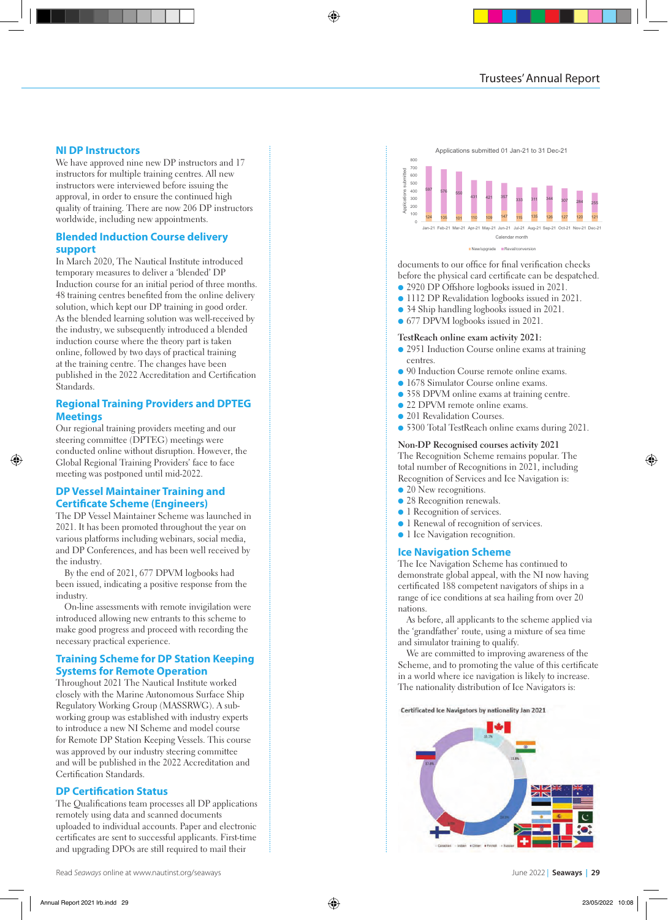#### **NI DP Instructors**

We have approved nine new DP instructors and 17 instructors for multiple training centres. All new instructors were interviewed before issuing the approval, in order to ensure the continued high quality of training. There are now 206 DP instructors worldwide, including new appointments.

#### **Blended Induction Course delivery support**

In March 2020, The Nautical Institute introduced temporary measures to deliver a 'blended' DP Induction course for an initial period of three months. 48 training centres benefited from the online delivery solution, which kept our DP training in good order. As the blended learning solution was well-received by the industry, we subsequently introduced a blended induction course where the theory part is taken online, followed by two days of practical training at the training centre. The changes have been published in the 2022 Accreditation and Certification Standards.

#### **Regional Training Providers and DPTEG Meetings**

Our regional training providers meeting and our steering committee (DPTEG) meetings were conducted online without disruption. However, the Global Regional Training Providers' face to face meeting was postponed until mid-2022.

#### **DP Vessel Maintainer Training and Certificate Scheme (Engineers)**

The DP Vessel Maintainer Scheme was launched in 2021. It has been promoted throughout the year on various platforms including webinars, social media, and DP Conferences, and has been well received by the industry.

By the end of 2021, 677 DPVM logbooks had been issued, indicating a positive response from the industry.

On-line assessments with remote invigilation were introduced allowing new entrants to this scheme to make good progress and proceed with recording the necessary practical experience.

#### **Training Scheme for DP Station Keeping Systems for Remote Operation**

Throughout 2021 The Nautical Institute worked closely with the Marine Autonomous Surface Ship Regulatory Working Group (MASSRWG). A subworking group was established with industry experts to introduce a new NI Scheme and model course for Remote DP Station Keeping Vessels. This course was approved by our industry steering committee and will be published in the 2022 Accreditation and Certification Standards.

#### **DP Certification Status**

The Qualifications team processes all DP applications remotely using data and scanned documents uploaded to individual accounts. Paper and electronic certificates are sent to successful applicants. First-time and upgrading DPOs are still required to mail their



documents to our office for final verification checks before the physical card certificate can be despatched.

- l 2920 DP Offshore logbooks issued in 2021.
- l 1112 DP Revalidation logbooks issued in 2021.
- 34 Ship handling logbooks issued in 2021.
- 677 DPVM logbooks issued in 2021.

#### **TestReach online exam activity 2021:**

- l 2951 Induction Course online exams at training centres.
- 90 Induction Course remote online exams.
- **.** 1678 Simulator Course online exams.
- 358 DPVM online exams at training centre.
- 22 DPVM remote online exams.
- 201 Revalidation Courses.
- l 5300 Total TestReach online exams during 2021.

# **Non-DP Recognised courses activity 2021**

The Recognition Scheme remains popular. The total number of Recognitions in 2021, including Recognition of Services and Ice Navigation is:

- 20 New recognitions.
- 28 Recognition renewals.
- l Recognition of services.
- l 1 Renewal of recognition of services.
- l 1 Ice Navigation recognition.

#### **Ice Navigation Scheme**

The Ice Navigation Scheme has continued to demonstrate global appeal, with the NI now having certificated 188 competent navigators of ships in a range of ice conditions at sea hailing from over 20 nations.

As before, all applicants to the scheme applied via the 'grandfather' route, using a mixture of sea time and simulator training to qualify.

We are committed to improving awareness of the Scheme, and to promoting the value of this certificate in a world where ice navigation is likely to increase. The nationality distribution of Ice Navigators is:

Certificated Ice Navigators by nationality Jan 2021

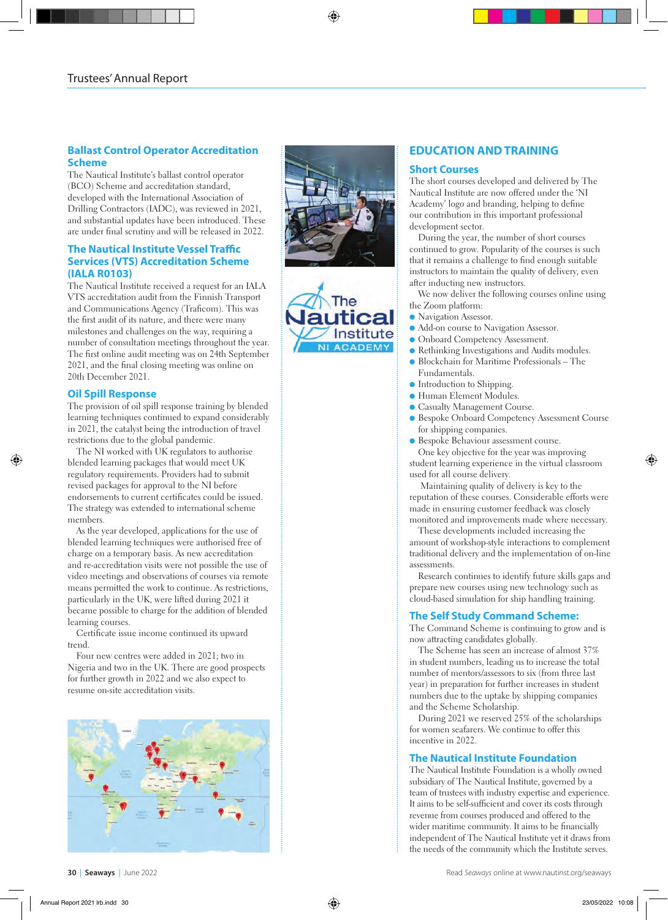# **Ballast Control Operator Accreditation Scheme**

The Nautical Institute's ballast control operator (BCO) Scheme and accreditation standard, developed with the International Association of Drilling Contractors (IADC), was reviewed in 2021, and substantial updates have been introduced. These are under final scrutiny and will be released in 2022.

# **The Nautical Institute Vessel Traffic Services (VTS) Accreditation Scheme (IALA R0103)**

The Nautical Institute received a request for an IALA VTS accreditation audit from the Finnish Transport and Communications Agency (Traficom). This was the first audit of its nature, and there were many milestones and challenges on the way, requiring a number of consultation meetings throughout the year. The first online audit meeting was on 24th September 2021, and the final closing meeting was online on 20th December 2021.

# **Oil Spill Response**

The provision of oil spill response training by blended learning techniques continued to expand considerably in 2021, the catalyst being the introduction of travel restrictions due to the global pandemic.

The NI worked with UK regulators to authorise blended learning packages that would meet UK regulatory requirements. Providers had to submit revised packages for approval to the NI before endorsements to current certificates could be issued. The strategy was extended to international scheme members.

As the year developed, applications for the use of blended learning techniques were authorised free of charge on a temporary basis. As new accreditation and re-accreditation visits were not possible the use of video meetings and observations of courses via remote means permitted the work to continue. As restrictions, particularly in the UK, were lifted during 2021 it became possible to charge for the addition of blended learning courses.

Certificate issue income continued its upward trend.

Four new centres were added in 2021; two in Nigeria and two in the UK. There are good prospects for further growth in 2022 and we also expect to resume on-site accreditation visits.







# **EDUCATION AND TRAINING**

#### **Short Courses**

The short courses developed and delivered by The Nautical Institute are now offered under the 'NI Academy' logo and branding, helping to define our contribution in this important professional development sector.

During the year, the number of short courses continued to grow. Popularity of the courses is such that it remains a challenge to find enough suitable instructors to maintain the quality of delivery, even after inducting new instructors.

We now deliver the following courses online using the Zoom platform:

- Navigation Assessor.
- l Add-on course to Navigation Assessor.
- **Onboard Competency Assessment.**
- Rethinking Investigations and Audits modules.
- l Blockchain for Maritime Professionals The Fundamentals.
- $\bullet$  Introduction to Shipping.
- **.** Human Element Modules.
- **Casualty Management Course.**
- l Bespoke Onboard Competency Assessment Course for shipping companies.
- **Bespoke Behaviour assessment course.** One key objective for the year was improving student learning experience in the virtual classroom

used for all course delivery . Maintaining quality of delivery is key to the reputation of these courses. Considerable efforts were made in ensuring customer feedback was closely monitored and improvements made where necessary.

These developments included increasing the amount of workshop-style interactions to complement traditional delivery and the implementation of on-line assessments.

Research continues to identify future skills gaps and prepare new courses using new technology such as cloud-based simulation for ship handling training.

# **The Self Study Command Scheme:**

The Command Scheme is continuing to grow and is now attracting candidates globally.

The Scheme has seen an increase of almost 37% in student numbers, leading us to increase the total number of mentors/assessors to six (from three last year) in preparation for further increases in student numbers due to the uptake by shipping companies and the Scheme Scholarship.

During 2021 we reserved 25% of the scholarships for women seafarers. We continue to offer this incentive in 2022.

# **The Nautical Institute Foundation**

The Nautical Institute Foundation is a wholly owned subsidiary of The Nautical Institute, governed by a team of trustees with industry expertise and experience. It aims to be self-sufficient and cover its costs through revenue from courses produced and offered to the wider maritime community. It aims to be financially independent of The Nautical Institute yet it draws from the needs of the community which the Institute serves.